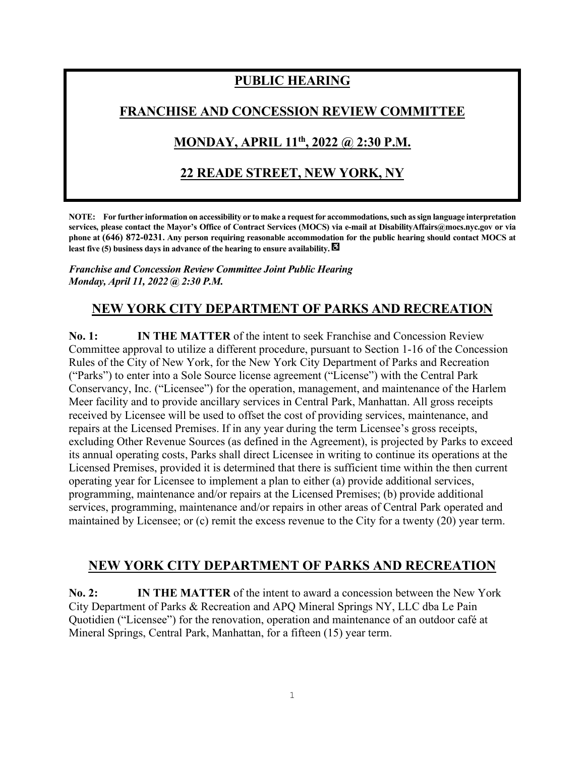# **PUBLIC HEARING**

## **FRANCHISE AND CONCESSION REVIEW COMMITTEE**

# **MONDAY, APRIL 11th , 2022 @ 2:30 P.M.**

## **22 READE STREET, NEW YORK, NY**

**NOTE: For further information on accessibility or to make a request for accommodations, such as sign language interpretation services, please contact the Mayor's Office of Contract Services (MOCS) via e-mail at DisabilityAffairs@mocs.nyc.gov or via phone at (646) 872-0231. Any person requiring reasonable accommodation for the public hearing should contact MOCS at least five (5) business days in advance of the hearing to ensure availability.** 

#### *Franchise and Concession Review Committee Joint Public Hearing Monday, April 11, 2022 @ 2:30 P.M.*

# **NEW YORK CITY DEPARTMENT OF PARKS AND RECREATION**

**No. 1: IN THE MATTER** of the intent to seek Franchise and Concession Review Committee approval to utilize a different procedure, pursuant to Section 1-16 of the Concession Rules of the City of New York, for the New York City Department of Parks and Recreation ("Parks") to enter into a Sole Source license agreement ("License") with the Central Park Conservancy, Inc. ("Licensee") for the operation, management, and maintenance of the Harlem Meer facility and to provide ancillary services in Central Park, Manhattan. All gross receipts received by Licensee will be used to offset the cost of providing services, maintenance, and repairs at the Licensed Premises. If in any year during the term Licensee's gross receipts, excluding Other Revenue Sources (as defined in the Agreement), is projected by Parks to exceed its annual operating costs, Parks shall direct Licensee in writing to continue its operations at the Licensed Premises, provided it is determined that there is sufficient time within the then current operating year for Licensee to implement a plan to either (a) provide additional services, programming, maintenance and/or repairs at the Licensed Premises; (b) provide additional services, programming, maintenance and/or repairs in other areas of Central Park operated and maintained by Licensee; or (c) remit the excess revenue to the City for a twenty (20) year term.

### **NEW YORK CITY DEPARTMENT OF PARKS AND RECREATION**

**No. 2: IN THE MATTER** of the intent to award a concession between the New York City Department of Parks & Recreation and APQ Mineral Springs NY, LLC dba Le Pain Quotidien ("Licensee") for the renovation, operation and maintenance of an outdoor café at Mineral Springs, Central Park, Manhattan, for a fifteen (15) year term.